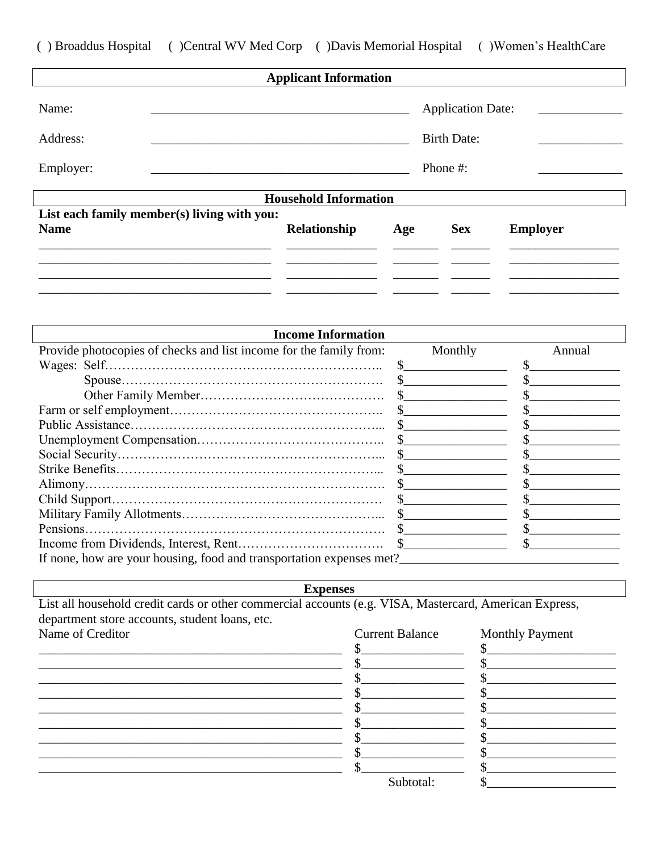() Broaddus Hospital () Central WV Med Corp () Davis Memorial Hospital () Women's Health Care

|                                |                                             | <b>Applicant Information</b> |     |                                                            |                 |
|--------------------------------|---------------------------------------------|------------------------------|-----|------------------------------------------------------------|-----------------|
| Name:<br>Address:<br>Employer: |                                             |                              |     | <b>Application Date:</b><br><b>Birth Date:</b><br>Phone #: |                 |
|                                |                                             |                              |     |                                                            |                 |
|                                |                                             | <b>Household Information</b> |     |                                                            |                 |
|                                | List each family member(s) living with you: |                              |     |                                                            |                 |
| <b>Name</b>                    |                                             | <b>Relationship</b>          | Age | <b>Sex</b>                                                 | <b>Employer</b> |
|                                |                                             |                              |     |                                                            |                 |
|                                |                                             |                              |     |                                                            |                 |
|                                |                                             |                              |     |                                                            |                 |
|                                |                                             |                              |     |                                                            |                 |

| <b>Income Information</b>                                            |              |        |
|----------------------------------------------------------------------|--------------|--------|
| Provide photocopies of checks and list income for the family from:   | Monthly      | Annual |
|                                                                      | <sup>S</sup> |        |
|                                                                      |              |        |
|                                                                      |              |        |
|                                                                      |              |        |
|                                                                      |              |        |
|                                                                      |              |        |
|                                                                      |              |        |
|                                                                      |              |        |
|                                                                      |              |        |
|                                                                      |              |        |
|                                                                      |              |        |
|                                                                      |              |        |
|                                                                      |              |        |
| If none, how are your housing, food and transportation expenses met? |              |        |

**Expenses** 

List all household credit cards or other commercial accounts (e.g. VISA, Mastercard, American Express, department store accounts, student loans, etc. Name of Creditor

**Current Balance Monthly Payment**  $\mathbb{S}$ \$ <u> 1989 - Johann John Stone, mars eta batean eta idazlea (</u>  $\mathbb{S}$  $\mathbb{S}$ <u>s se a seu constructo de la seu constructo de la seu constructo de la seu constructo de la seu constructo de l</u>  $\frac{1}{2}$  $s$  $\sim$  $\frac{1}{2}$  $\frac{\frac{1}{2} \frac{1}{2} \frac{1}{2} \frac{1}{2} \frac{1}{2} \frac{1}{2} \frac{1}{2} \frac{1}{2} \frac{1}{2} \frac{1}{2} \frac{1}{2} \frac{1}{2} \frac{1}{2} \frac{1}{2} \frac{1}{2} \frac{1}{2} \frac{1}{2} \frac{1}{2} \frac{1}{2} \frac{1}{2} \frac{1}{2} \frac{1}{2} \frac{1}{2} \frac{1}{2} \frac{1}{2} \frac{1}{2} \frac{1}{2} \frac{1}{2} \frac{1}{2} \frac{1}{2} \frac{1}{2} \$  $\mathbb{S}$  $\sim$  $\begin{picture}(20,10) \put(0,0){\vector(1,0){100}} \put(15,0){\vector(1,0){100}} \put(15,0){\vector(1,0){100}} \put(15,0){\vector(1,0){100}} \put(15,0){\vector(1,0){100}} \put(15,0){\vector(1,0){100}} \put(15,0){\vector(1,0){100}} \put(15,0){\vector(1,0){100}} \put(15,0){\vector(1,0){100}} \put(15,0){\vector(1,0){100}} \put(15,0){\vector(1,0){100}} \$  $\mathcal{S}_{\perp}$  $\sim$  $\mathcal{S}_{-}$  $\mathbb{S}$ Subtotal:  $\mathbb{S}$